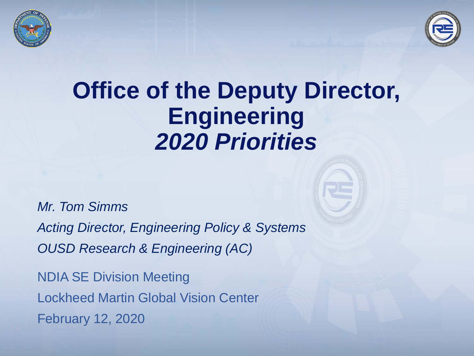



# **Office of the Deputy Director, Engineering**  *2020 Priorities*

*Mr. Tom Simms*

*Acting Director, Engineering Policy & Systems OUSD Research & Engineering (AC)*

NDIA SE Division Meeting Lockheed Martin Global Vision Center February 12, 2020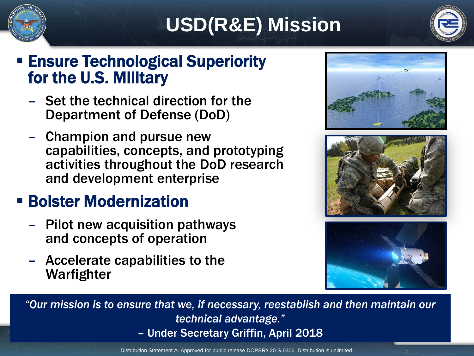

# **USD(R&E) Mission**



### **Ensure Technological Superiority** for the U.S. Military

- Set the technical direction for the Department of Defense (DoD)
- Champion and pursue new capabilities, concepts, and prototyping activities throughout the DoD research and development enterprise

## **E** Bolster Modernization

- Pilot new acquisition pathways and concepts of operation
- Accelerate capabilities to the Warfighter







*"Our mission is to ensure that we, if necessary, reestablish and then maintain our technical advantage."*  – Under Secretary Griffin, April 2018

Distribution Statement A. Approved for public release DOPSR# 20-S-0306. Distribution is unlimited. 2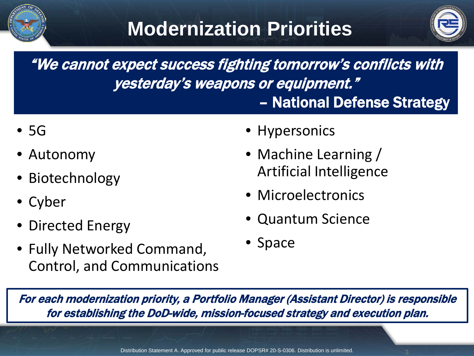



"We cannot expect success fighting tomorrow's conflicts with yesterday's weapons or equipment." – National Defense Strategy

- 5G
- Autonomy
- Biotechnology
- Cyber
- Directed Energy
- Fully Networked Command, Control, and Communications
- Hypersonics
- Machine Learning / Artificial Intelligence
- Microelectronics
- Quantum Science
- Space

For each modernization priority, a Portfolio Manager (Assistant Director) is responsible for establishing the DoD-wide, mission-focused strategy and execution plan.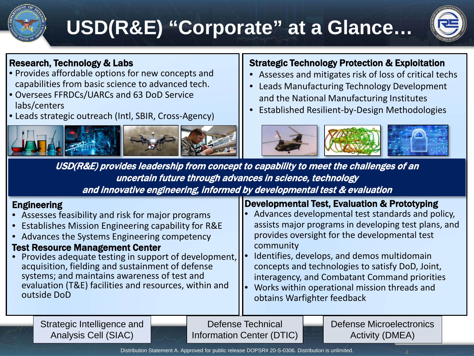

# **USD(R&E) "Corporate" at a Glance…**



#### Research, Technology & Labs

- Provides affordable options for new concepts and capabilities from basic science to advanced tech.
- Oversees FFRDCs/UARCs and 63 DoD Service labs/centers
- Leads strategic outreach (Intl, SBIR, Cross-Agency)



#### Strategic Technology Protection & Exploitation

- Assesses and mitigates risk of loss of critical techs
- Leads Manufacturing Technology Development and the National Manufacturing Institutes
- Established Resilient-by-Design Methodologies



USD(R&E) provides leadership from concept to capability to meet the challenges of an uncertain future through advances in science, technology and innovative engineering, informed by developmental test & evaluation

#### Engineering

- Assesses feasibility and risk for major programs
- Establishes Mission Engineering capability for R&E
- Advances the Systems Engineering competency

#### Test Resource Management Center

Provides adequate testing in support of development, acquisition, fielding and sustainment of defense systems; and maintains awareness of test and evaluation (T&E) facilities and resources, within and outside DoD

#### Developmental Test, Evaluation & Prototyping

- Advances developmental test standards and policy, assists major programs in developing test plans, and provides oversight for the developmental test community
- Identifies, develops, and demos multidomain concepts and technologies to satisfy DoD, Joint, interagency, and Combatant Command priorities
- Works within operational mission threads and obtains Warfighter feedback

Strategic Intelligence and Analysis Cell (SIAC)

Defense Technical Information Center (DTIC) Defense Microelectronics Activity (DMEA)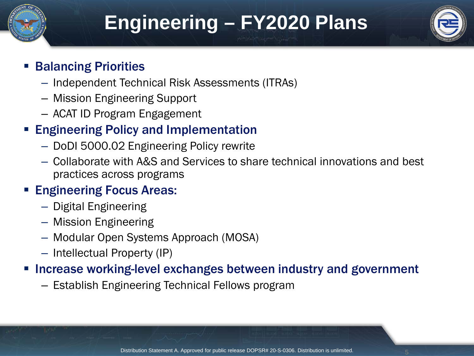

# **Engineering – FY2020 Plans**



### Balancing Priorities

- Independent Technical Risk Assessments (ITRAs)
- Mission Engineering Support
- ACAT ID Program Engagement

### Engineering Policy and Implementation

- DoDI 5000.02 Engineering Policy rewrite
- Collaborate with A&S and Services to share technical innovations and best practices across programs

### Engineering Focus Areas:

- Digital Engineering
- Mission Engineering
- Modular Open Systems Approach (MOSA)
- Intellectual Property (IP)

### Increase working-level exchanges between industry and government

– Establish Engineering Technical Fellows program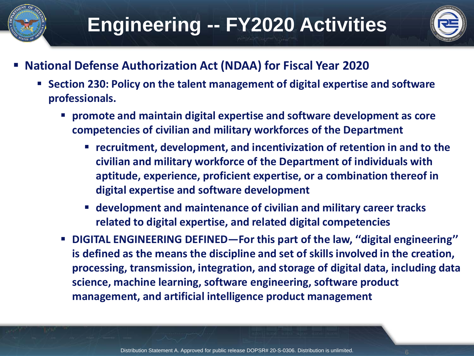



- **National Defense Authorization Act (NDAA) for Fiscal Year 2020**
	- **Section 230: Policy on the talent management of digital expertise and software professionals.**
		- **promote and maintain digital expertise and software development as core competencies of civilian and military workforces of the Department**
			- **recruitment, development, and incentivization of retention in and to the civilian and military workforce of the Department of individuals with aptitude, experience, proficient expertise, or a combination thereof in digital expertise and software development**
			- **development and maintenance of civilian and military career tracks related to digital expertise, and related digital competencies**
		- **DIGITAL ENGINEERING DEFINED—For this part of the law, ''digital engineering'' is defined as the means the discipline and set of skills involved in the creation, processing, transmission, integration, and storage of digital data, including data science, machine learning, software engineering, software product management, and artificial intelligence product management**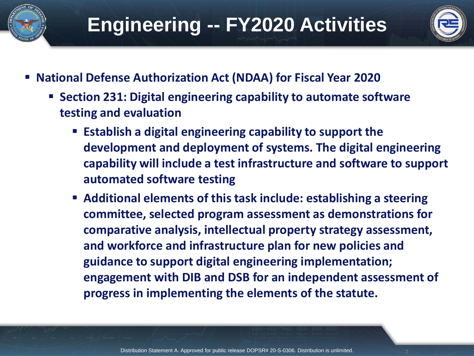



- **National Defense Authorization Act (NDAA) for Fiscal Year 2020**
	- Section 231: Digital engineering capability to automate software **testing and evaluation**
		- **Establish a digital engineering capability to support the development and deployment of systems. The digital engineering capability will include a test infrastructure and software to support automated software testing**
		- **Additional elements of this task include: establishing a steering committee, selected program assessment as demonstrations for comparative analysis, intellectual property strategy assessment, and workforce and infrastructure plan for new policies and guidance to support digital engineering implementation; engagement with DIB and DSB for an independent assessment of progress in implementing the elements of the statute.**